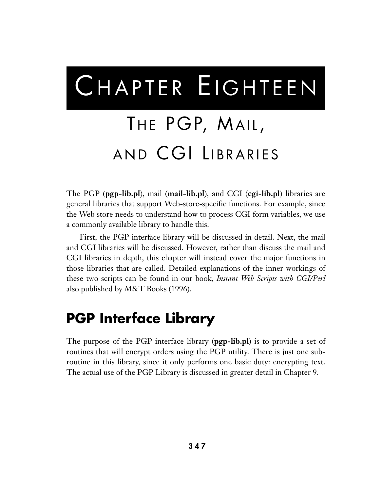# CHAPTER EIGHTEEN

# THE PGP, MAIL, AND CGI LIBRARIES

The PGP (**pgp-lib.pl**), mail (**mail-lib.pl**), and CGI (**cgi-lib.pl**) libraries are general libraries that support Web-store-specific functions. For example, since the Web store needs to understand how to process CGI form variables, we use a commonly available library to handle this.

First, the PGP interface library will be discussed in detail. Next, the mail and CGI libraries will be discussed. However, rather than discuss the mail and CGI libraries in depth, this chapter will instead cover the major functions in those libraries that are called. Detailed explanations of the inner workings of these two scripts can be found in our book, *Instant Web Scripts with CGI/Perl* also published by M&T Books (1996).

# **PGP Interface Library**

The purpose of the PGP interface library (**pgp-lib.pl**) is to provide a set of routines that will encrypt orders using the PGP utility. There is just one subroutine in this library, since it only performs one basic duty: encrypting text. The actual use of the PGP Library is discussed in greater detail in Chapter 9.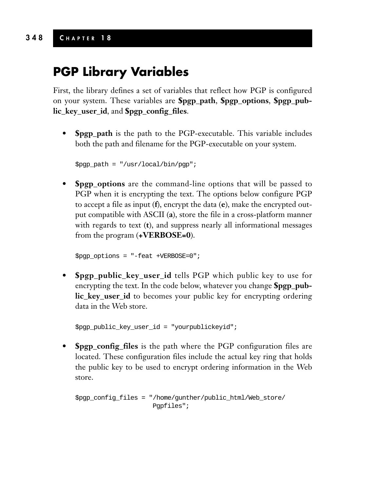### **PGP Library Variables**

First, the library defines a set of variables that reflect how PGP is configured on your system. These variables are **\$pgp\_path**, **\$pgp\_options**, **\$pgp\_public\_key\_user\_id**, and **\$pgp\_config\_files**.

**• \$pgp\_path** is the path to the PGP-executable. This variable includes both the path and filename for the PGP-executable on your system.

```
$pgp_path = "/usr/local/bin/pgp";
```
**• \$pgp\_options** are the command-line options that will be passed to PGP when it is encrypting the text. The options below configure PGP to accept a file as input (**f**), encrypt the data (**e**), make the encrypted output compatible with ASCII (**a**), store the file in a cross-platform manner with regards to text (**t**), and suppress nearly all informational messages from the program (**+VERBOSE=0**).

```
$pgp_options = "-feat +VERBOSE=0";
```
**• \$pgp\_public\_key\_user\_id** tells PGP which public key to use for encrypting the text. In the code below, whatever you change **\$pgp\_public\_key\_user\_id** to becomes your public key for encrypting ordering data in the Web store.

```
$pgp_public_key_user_id = "yourpublickeyid";
```
**• \$pgp\_config\_files** is the path where the PGP configuration files are located. These configuration files include the actual key ring that holds the public key to be used to encrypt ordering information in the Web store.

```
$pgp_config_files = "/home/gunther/public_html/Web_store/
                     Pgpfiles";
```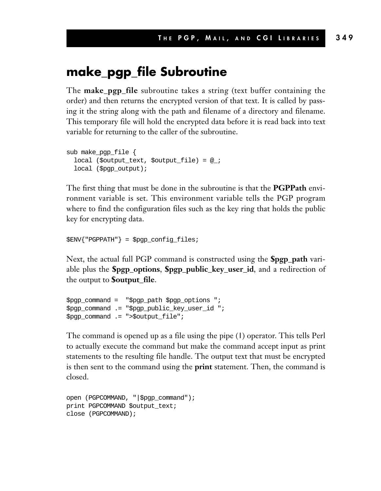#### **make\_pgp\_file Subroutine**

The **make\_pgp\_file** subroutine takes a string (text buffer containing the order) and then returns the encrypted version of that text. It is called by passing it the string along with the path and filename of a directory and filename. This temporary file will hold the encrypted data before it is read back into text variable for returning to the caller of the subroutine.

```
sub make_pgp_file {
 local ($output_text, $output_file) = @_;
 local ($pgp_output);
```
The first thing that must be done in the subroutine is that the **PGPPath** environment variable is set. This environment variable tells the PGP program where to find the configuration files such as the key ring that holds the public key for encrypting data.

\$ENV{"PGPPATH"} = \$pgp\_config\_files;

Next, the actual full PGP command is constructed using the **\$pgp\_path** variable plus the **\$pgp\_options**, **\$pgp\_public\_key\_user\_id**, and a redirection of the output to **\$output\_file**.

```
$pgp_command = "$pgp_path $pgp_options ";
$pgp_command .= "$pgp_public_key_user_id ";
$pgp_command .= ">$output_file";
```
The command is opened up as a file using the pipe (**|**) operator. This tells Perl to actually execute the command but make the command accept input as print statements to the resulting file handle. The output text that must be encrypted is then sent to the command using the **print** statement. Then, the command is closed.

```
open (PGPCOMMAND, "|$pgp_command");
print PGPCOMMAND $output_text;
close (PGPCOMMAND);
```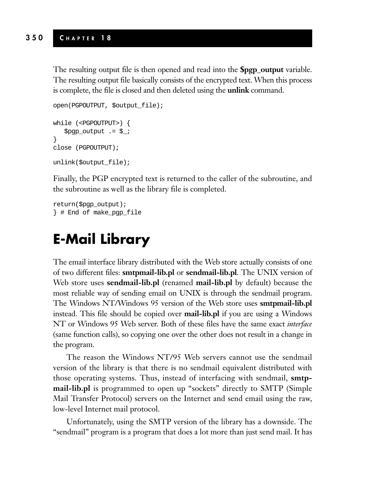The resulting output file is then opened and read into the **\$pgp\_output** variable. The resulting output file basically consists of the encrypted text. When this process is complete, the file is closed and then deleted using the **unlink** command.

```
open(PGPOUTPUT, $output_file);
while (<PGPOUTPUT>) {
   $pgp_output .= $_;
}
close (PGPOUTPUT);
unlink($output_file);
```
Finally, the PGP encrypted text is returned to the caller of the subroutine, and the subroutine as well as the library file is completed.

return(\$pgp\_output); } # End of make\_pgp\_file

# **E-Mail Library**

The email interface library distributed with the Web store actually consists of one of two different files: **smtpmail-lib.pl** or **sendmail-lib.pl**. The UNIX version of Web store uses **sendmail-lib.pl** (renamed **mail-lib.pl** by default) because the most reliable way of sending email on UNIX is through the sendmail program. The Windows NT/Windows 95 version of the Web store uses **smtpmail-lib.pl** instead. This file should be copied over **mail-lib.pl** if you are using a Windows NT or Windows 95 Web server. Both of these files have the same exact *interface* (same function calls), so copying one over the other does not result in a change in the program.

The reason the Windows NT/95 Web servers cannot use the sendmail version of the library is that there is no sendmail equivalent distributed with those operating systems. Thus, instead of interfacing with sendmail, **smtpmail-lib.pl** is programmed to open up "sockets" directly to SMTP (Simple Mail Transfer Protocol) servers on the Internet and send email using the raw, low-level Internet mail protocol.

Unfortunately, using the SMTP version of the library has a downside. The "sendmail" program is a program that does a lot more than just send mail. It has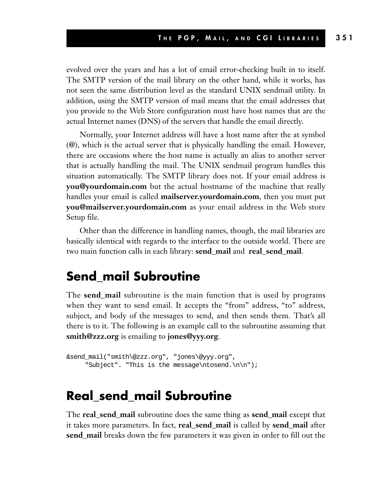evolved over the years and has a lot of email error-checking built in to itself. The SMTP version of the mail library on the other hand, while it works, has not seen the same distribution level as the standard UNIX sendmail utility. In addition, using the SMTP version of mail means that the email addresses that you provide to the Web Store configuration must have host names that are the actual Internet names (DNS) of the servers that handle the email directly.

Normally, your Internet address will have a host name after the at symbol (@), which is the actual server that is physically handling the email. However, there are occasions where the host name is actually an alias to another server that is actually handling the mail. The UNIX sendmail program handles this situation automatically. The SMTP library does not. If your email address is **you@yourdomain.com** but the actual hostname of the machine that really handles your email is called **mailserver.yourdomain.com**, then you must put **you@mailserver.yourdomain.com** as your email address in the Web store Setup file.

Other than the difference in handling names, though, the mail libraries are basically identical with regards to the interface to the outside world. There are two main function calls in each library: **send\_mail** and **real\_send\_mail**.

#### **Send\_mail Subroutine**

The **send\_mail** subroutine is the main function that is used by programs when they want to send email. It accepts the "from" address, "to" address, subject, and body of the messages to send, and then sends them. That's all there is to it. The following is an example call to the subroutine assuming that **smith@zzz.org** is emailing to **jones@yyy.org**.

```
&send_mail("smith\@zzz.org", "jones\@yyy.org",
     "Subject". "This is the message\ntosend.\n\n");
```
#### **Real\_send\_mail Subroutine**

The **real\_send\_mail** subroutine does the same thing as **send\_mail** except that it takes more parameters. In fact, **real\_send\_mail** is called by **send\_mail** after **send\_mail** breaks down the few parameters it was given in order to fill out the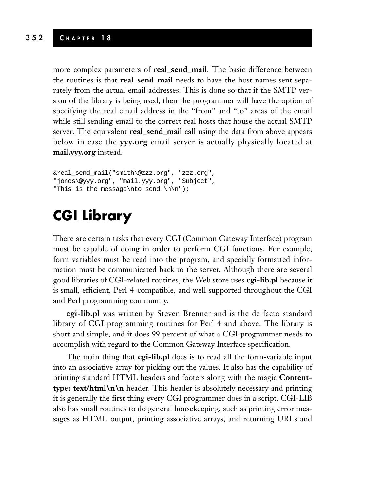more complex parameters of **real\_send\_mail**. The basic difference between the routines is that **real\_send\_mail** needs to have the host names sent separately from the actual email addresses. This is done so that if the SMTP version of the library is being used, then the programmer will have the option of specifying the real email address in the "from" and "to" areas of the email while still sending email to the correct real hosts that house the actual SMTP server. The equivalent **real\_send\_mail** call using the data from above appears below in case the **yyy.org** email server is actually physically located at **mail.yyy.org** instead.

```
&real_send_mail("smith\@zzz.org", "zzz.org",
"jones\@yyy.org", "mail.yyy.org", "Subject",
"This is the message\nto send.\n\n");
```
## **CGI Library**

There are certain tasks that every CGI (Common Gateway Interface) program must be capable of doing in order to perform CGI functions. For example, form variables must be read into the program, and specially formatted information must be communicated back to the server. Although there are several good libraries of CGI-related routines, the Web store uses **cgi-lib.pl** because it is small, efficient, Perl 4–compatible, and well supported throughout the CGI and Perl programming community.

**cgi-lib.pl** was written by Steven Brenner and is the de facto standard library of CGI programming routines for Perl 4 and above. The library is short and simple, and it does 99 percent of what a CGI programmer needs to accomplish with regard to the Common Gateway Interface specification.

The main thing that **cgi-lib.pl** does is to read all the form-variable input into an associative array for picking out the values. It also has the capability of printing standard HTML headers and footers along with the magic **Contenttype: text/html\n\n** header. This header is absolutely necessary and printing it is generally the first thing every CGI programmer does in a script. CGI-LIB also has small routines to do general housekeeping, such as printing error messages as HTML output, printing associative arrays, and returning URLs and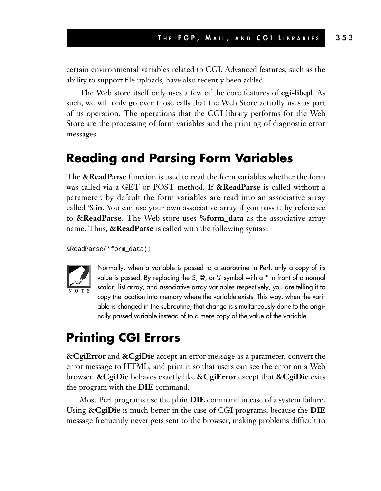certain environmental variables related to CGI. Advanced features, such as the ability to support file uploads, have also recently been added.

The Web store itself only uses a few of the core features of **cgi-lib.pl**. As such, we will only go over those calls that the Web Store actually uses as part of its operation. The operations that the CGI library performs for the Web Store are the processing of form variables and the printing of diagnostic error messages.

#### **Reading and Parsing Form Variables**

The **&ReadParse** function is used to read the form variables whether the form was called via a GET or POST method. If **&ReadParse** is called without a parameter, by default the form variables are read into an associative array called **%in**. You can use your own associative array if you pass it by reference to **&ReadParse**. The Web store uses **%form\_data** as the associative array name. Thus, **&ReadParse** is called with the following syntax:

&ReadParse(\*form\_data);



Normally, when a variable is passed to a subroutine in Perl, only a copy of its value is passed. By replacing the \$, @, or % symbol with a \* in front of a normal scalar, list array, and associative array variables respectively, you are telling it to copy the location into memory where the variable exists. This way, when the variable is changed in the subroutine, that change is simultaneously done to the originally passed variable instead of to a mere copy of the value of the variable.

#### **Printing CGI Errors**

**&CgiError** and **&CgiDie** accept an error message as a parameter, convert the error message to HTML, and print it so that users can see the error on a Web browser. **&CgiDie** behaves exactly like **&CgiError** except that **&CgiDie** exits the program with the **DIE** command.

Most Perl programs use the plain **DIE** command in case of a system failure. Using **&CgiDie** is much better in the case of CGI programs, because the **DIE** message frequently never gets sent to the browser, making problems difficult to